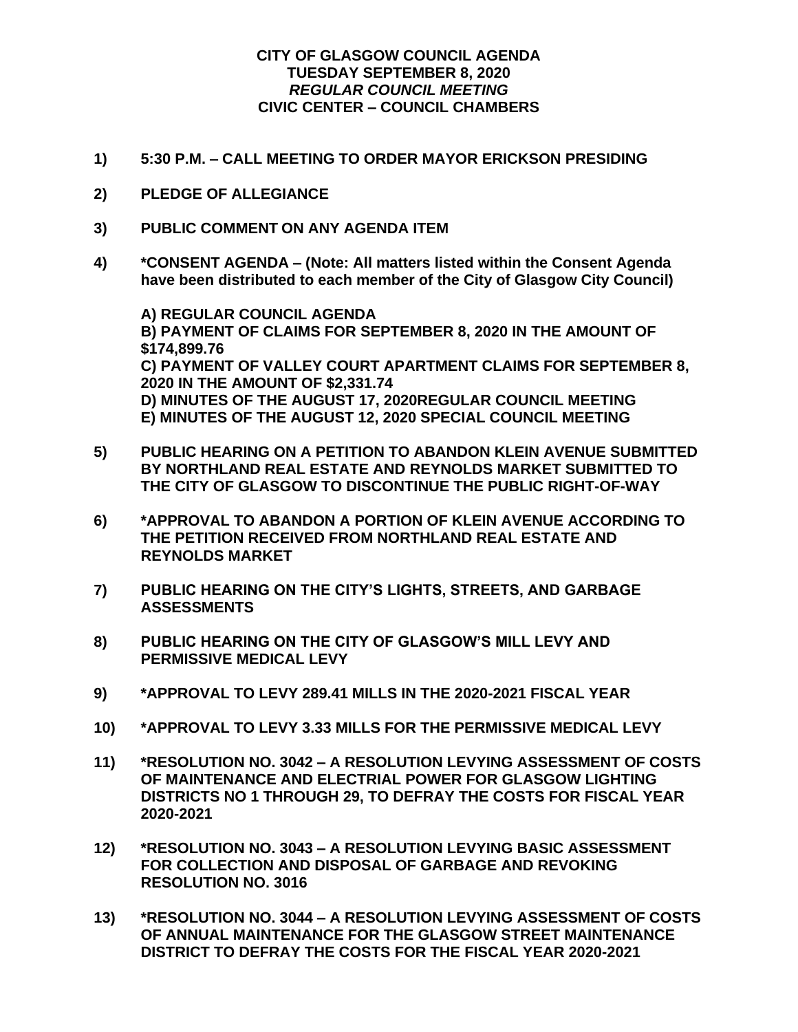## **CITY OF GLASGOW COUNCIL AGENDA TUESDAY SEPTEMBER 8, 2020** *REGULAR COUNCIL MEETING* **CIVIC CENTER – COUNCIL CHAMBERS**

- **1) 5:30 P.M. – CALL MEETING TO ORDER MAYOR ERICKSON PRESIDING**
- **2) PLEDGE OF ALLEGIANCE**
- **3) PUBLIC COMMENT ON ANY AGENDA ITEM**
- **4) \*CONSENT AGENDA – (Note: All matters listed within the Consent Agenda have been distributed to each member of the City of Glasgow City Council)**

**A) REGULAR COUNCIL AGENDA B) PAYMENT OF CLAIMS FOR SEPTEMBER 8, 2020 IN THE AMOUNT OF \$174,899.76 C) PAYMENT OF VALLEY COURT APARTMENT CLAIMS FOR SEPTEMBER 8, 2020 IN THE AMOUNT OF \$2,331.74 D) MINUTES OF THE AUGUST 17, 2020REGULAR COUNCIL MEETING E) MINUTES OF THE AUGUST 12, 2020 SPECIAL COUNCIL MEETING**

- **5) PUBLIC HEARING ON A PETITION TO ABANDON KLEIN AVENUE SUBMITTED BY NORTHLAND REAL ESTATE AND REYNOLDS MARKET SUBMITTED TO THE CITY OF GLASGOW TO DISCONTINUE THE PUBLIC RIGHT-OF-WAY**
- **6) \*APPROVAL TO ABANDON A PORTION OF KLEIN AVENUE ACCORDING TO THE PETITION RECEIVED FROM NORTHLAND REAL ESTATE AND REYNOLDS MARKET**
- **7) PUBLIC HEARING ON THE CITY'S LIGHTS, STREETS, AND GARBAGE ASSESSMENTS**
- **8) PUBLIC HEARING ON THE CITY OF GLASGOW'S MILL LEVY AND PERMISSIVE MEDICAL LEVY**
- **9) \*APPROVAL TO LEVY 289.41 MILLS IN THE 2020-2021 FISCAL YEAR**
- **10) \*APPROVAL TO LEVY 3.33 MILLS FOR THE PERMISSIVE MEDICAL LEVY**
- **11) \*RESOLUTION NO. 3042 – A RESOLUTION LEVYING ASSESSMENT OF COSTS OF MAINTENANCE AND ELECTRIAL POWER FOR GLASGOW LIGHTING DISTRICTS NO 1 THROUGH 29, TO DEFRAY THE COSTS FOR FISCAL YEAR 2020-2021**
- **12) \*RESOLUTION NO. 3043 – A RESOLUTION LEVYING BASIC ASSESSMENT FOR COLLECTION AND DISPOSAL OF GARBAGE AND REVOKING RESOLUTION NO. 3016**
- **13) \*RESOLUTION NO. 3044 – A RESOLUTION LEVYING ASSESSMENT OF COSTS OF ANNUAL MAINTENANCE FOR THE GLASGOW STREET MAINTENANCE DISTRICT TO DEFRAY THE COSTS FOR THE FISCAL YEAR 2020-2021**